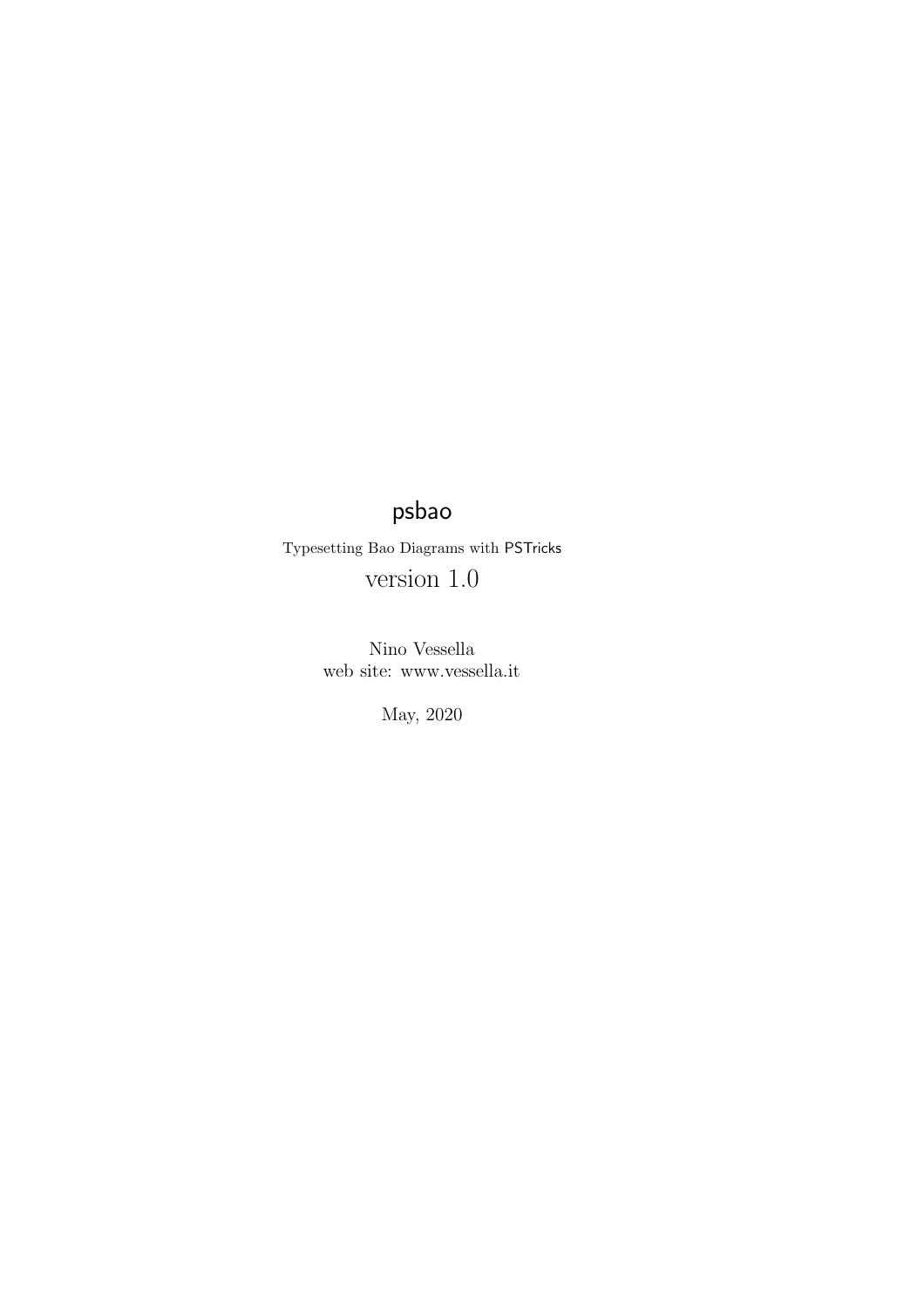# psbao

Typesetting Bao Diagrams with PSTricks version 1.0

> Nino Vessella web site: www.vessella.it

> > May, 2020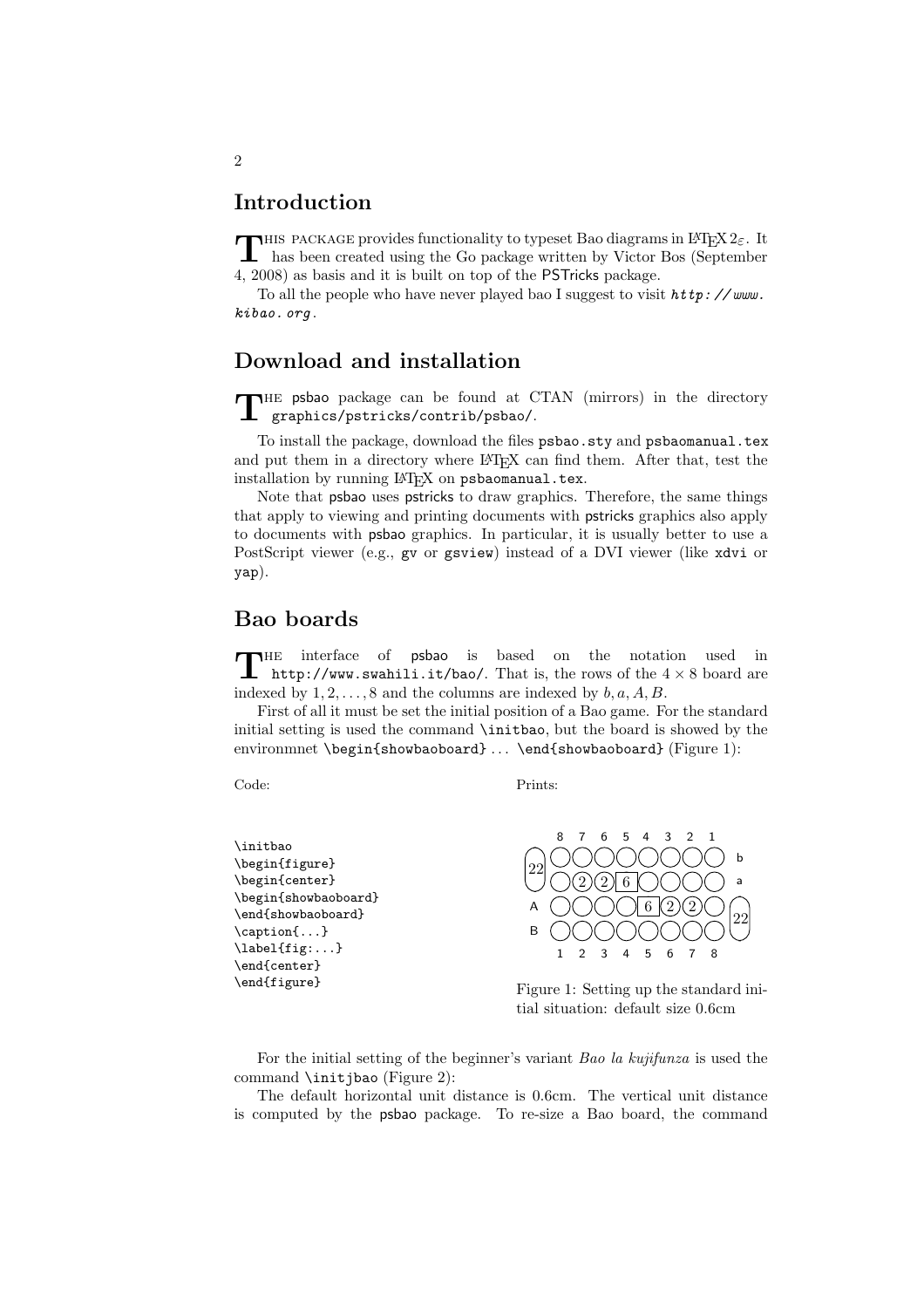## Introduction

THIS PACKAGE provides functionality to typeset Bao diagrams in L<sup>AT</sup>EX  $2_{\varepsilon}$ . It has been created using the Go package written by Victor Bos (September has been created using the Go package written by Victor Bos (September 4, 2008) as basis and it is built on top of the PSTricks package.

To all the people who have never played bao I suggest to visit *http: // www. kibao. org* .

## Download and installation

THE psbao package can be found at CTAN (mirrors) in the directory graphics/pstricks/contrib/psbao/. graphics/pstricks/contrib/psbao/.

To install the package, download the files psbao.sty and psbaomanual.tex and put them in a directory where LATEX can find them. After that, test the installation by running LATFX on psbaomanual.tex.

Note that psbao uses pstricks to draw graphics. Therefore, the same things that apply to viewing and printing documents with pstricks graphics also apply to documents with psbao graphics. In particular, it is usually better to use a PostScript viewer (e.g., gv or gsview) instead of a DVI viewer (like xdvi or yap).

### Bao boards

THE interface of psbao is based on the notation used in http://www.swahili.it/bao/. That is, the rows of the  $4 \times 8$  board are <code>http://www.swahili.it/bao/</code>. That is, the rows of the  $4\times 8$  board are indexed by  $1, 2, \ldots, 8$  and the columns are indexed by  $b, a, A, B$ .

First of all it must be set the initial position of a Bao game. For the standard initial setting is used the command \initbao, but the board is showed by the environmnet \begin{showbaoboard} ... \end{showbaoboard} (Figure 1):

Code:

Prints:

\initbao \begin{figure} \begin{center} \begin{showbaoboard} \end{showbaoboard} \caption{...} \label{fig:...} \end{center} \end{figure}



Figure 1: Setting up the standard initial situation: default size 0.6cm

For the initial setting of the beginner's variant Bao la kujifunza is used the command \initjbao (Figure 2):

The default horizontal unit distance is 0.6cm. The vertical unit distance is computed by the psbao package. To re-size a Bao board, the command

2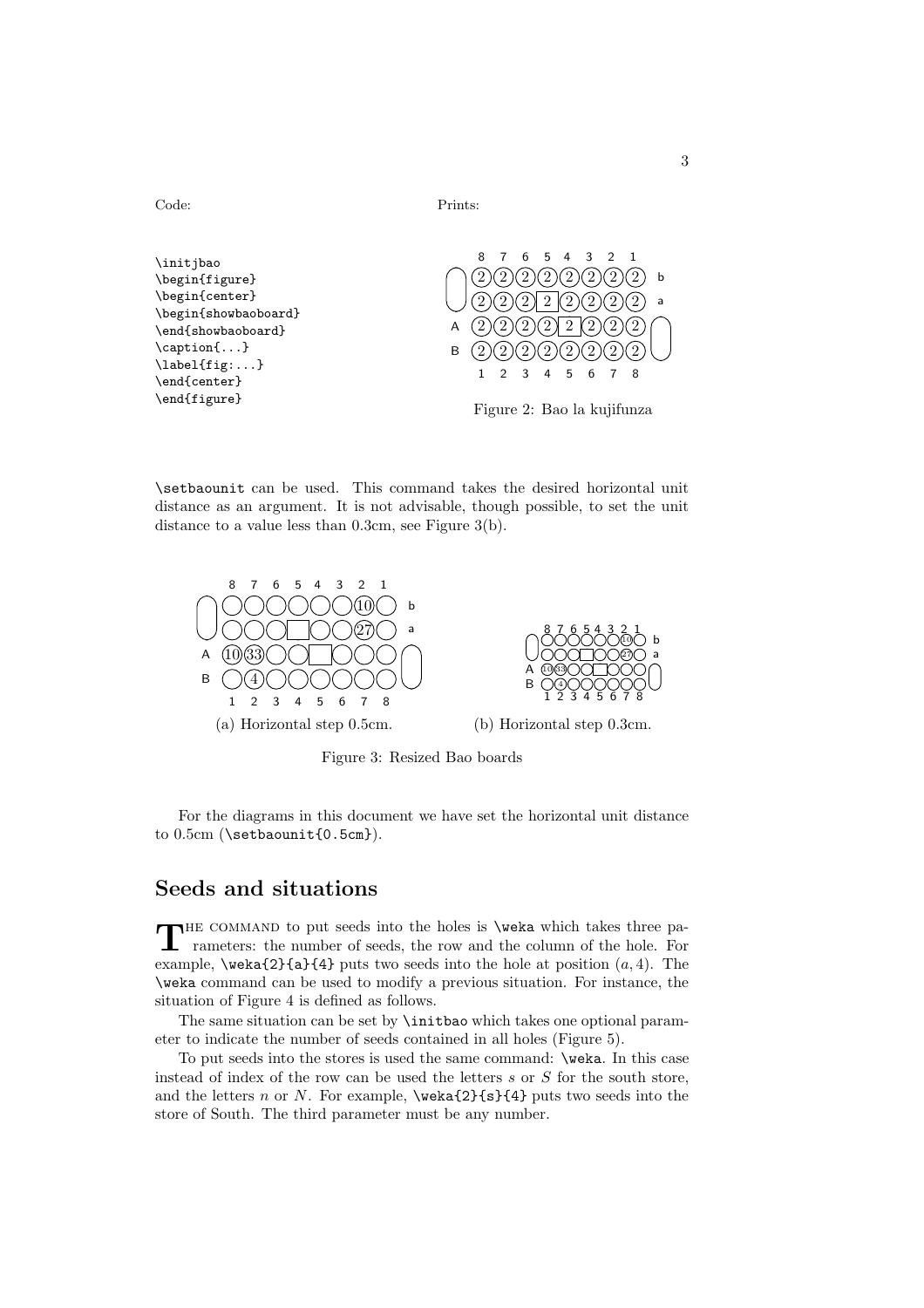

\setbaounit can be used. This command takes the desired horizontal unit distance as an argument. It is not advisable, though possible, to set the unit distance to a value less than 0.3cm, see Figure 3(b).



Figure 3: Resized Bao boards

For the diagrams in this document we have set the horizontal unit distance to  $0.5cm$  (\setbaounit{0.5cm}).

## Seeds and situations

THE COMMAND to put seeds into the holes is \weka which takes three parameters: the number of seeds, the row and the column of the hole. For rameters: the number of seeds, the row and the column of the hole. For example,  $\text{weak}(2)$ {a}{4} puts two seeds into the hole at position  $(a, 4)$ . The \weka command can be used to modify a previous situation. For instance, the situation of Figure 4 is defined as follows.

The same situation can be set by \initbao which takes one optional parameter to indicate the number of seeds contained in all holes (Figure 5).

To put seeds into the stores is used the same command: \weka. In this case instead of index of the row can be used the letters s or S for the south store, and the letters n or N. For example,  $\text{2}{s}{4}$  puts two seeds into the store of South. The third parameter must be any number.

Code:

Prints: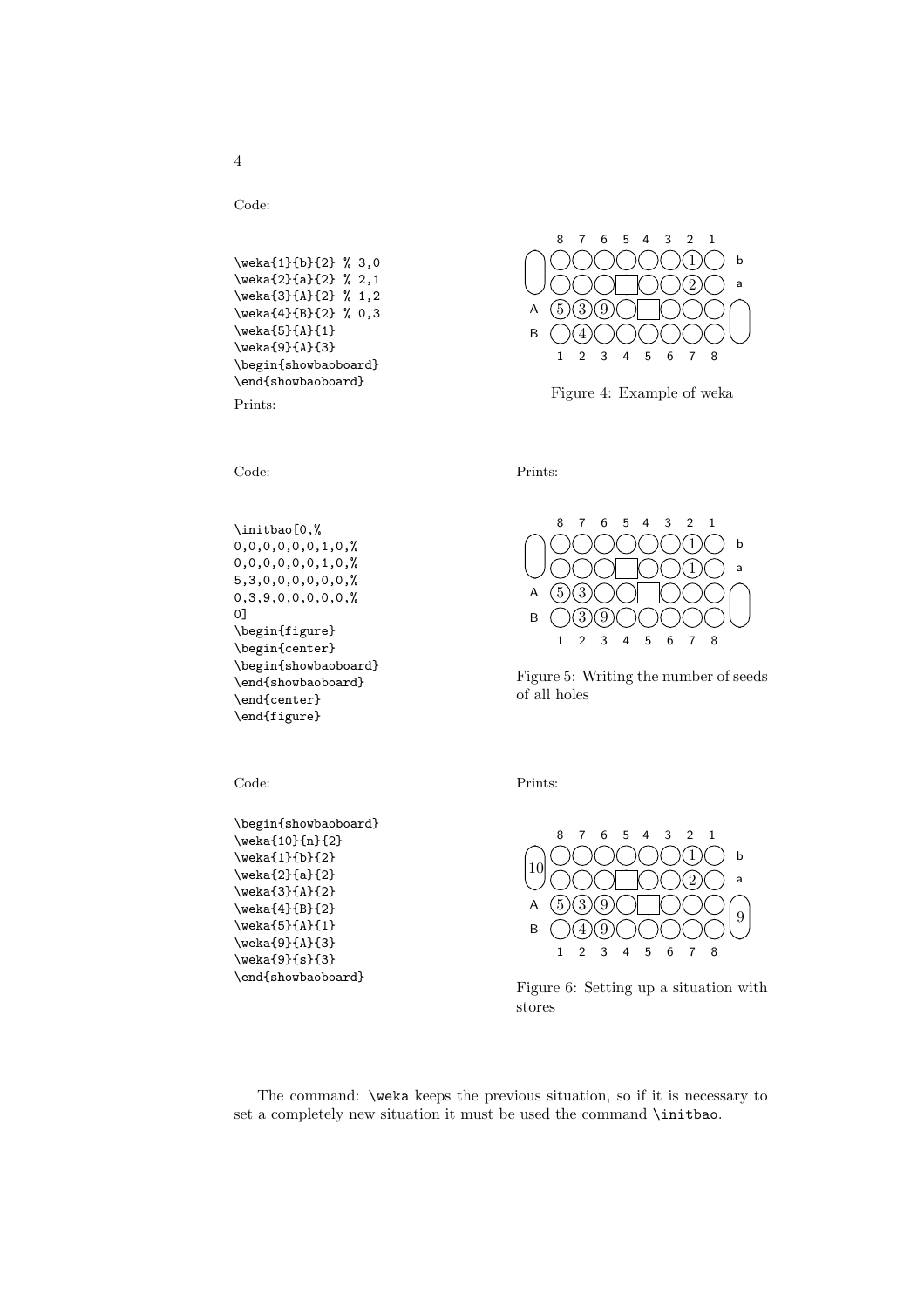Code:

```
\weka{1}{b}{2} % 3,0
\weka{2}{a}{2} % 2,1
\weka{3}{A}{2} % 1,2
\weka{4}{B}{2} % 0,3
\weka{5}{A}{1}
\weka{9}{A}{3}
\begin{showbaoboard}
\end{showbaoboard}
Prints:
```


Figure 4: Example of weka

Code:

```
\initbao[0,%
0,0,0,0,0,0,1,0,%
0,0,0,0,0,0,1,0,%
5,3,0,0,0,0,0,0,%
0,3,9,0,0,0,0,0,%
0]
\begin{figure}
\begin{center}
\begin{showbaoboard}
\end{showbaoboard}
\end{center}
\end{figure}
```
Code:

```
\begin{showbaoboard}
\weka{10}{n}{2}
\weka{1}{b}{2}
\weka{2}{a}{2}
\weka{3}{A}{2}
\weka{4}{B}{2}
\weka{5}{A}{1}
\weka{9}{A}{3}
\weka{9}{s}{3}
\end{showbaoboard}
```
Prints:



Figure 5: Writing the number of seeds of all holes

Prints:



Figure 6: Setting up a situation with stores

The command: \weka keeps the previous situation, so if it is necessary to set a completely new situation it must be used the command \initbao.

4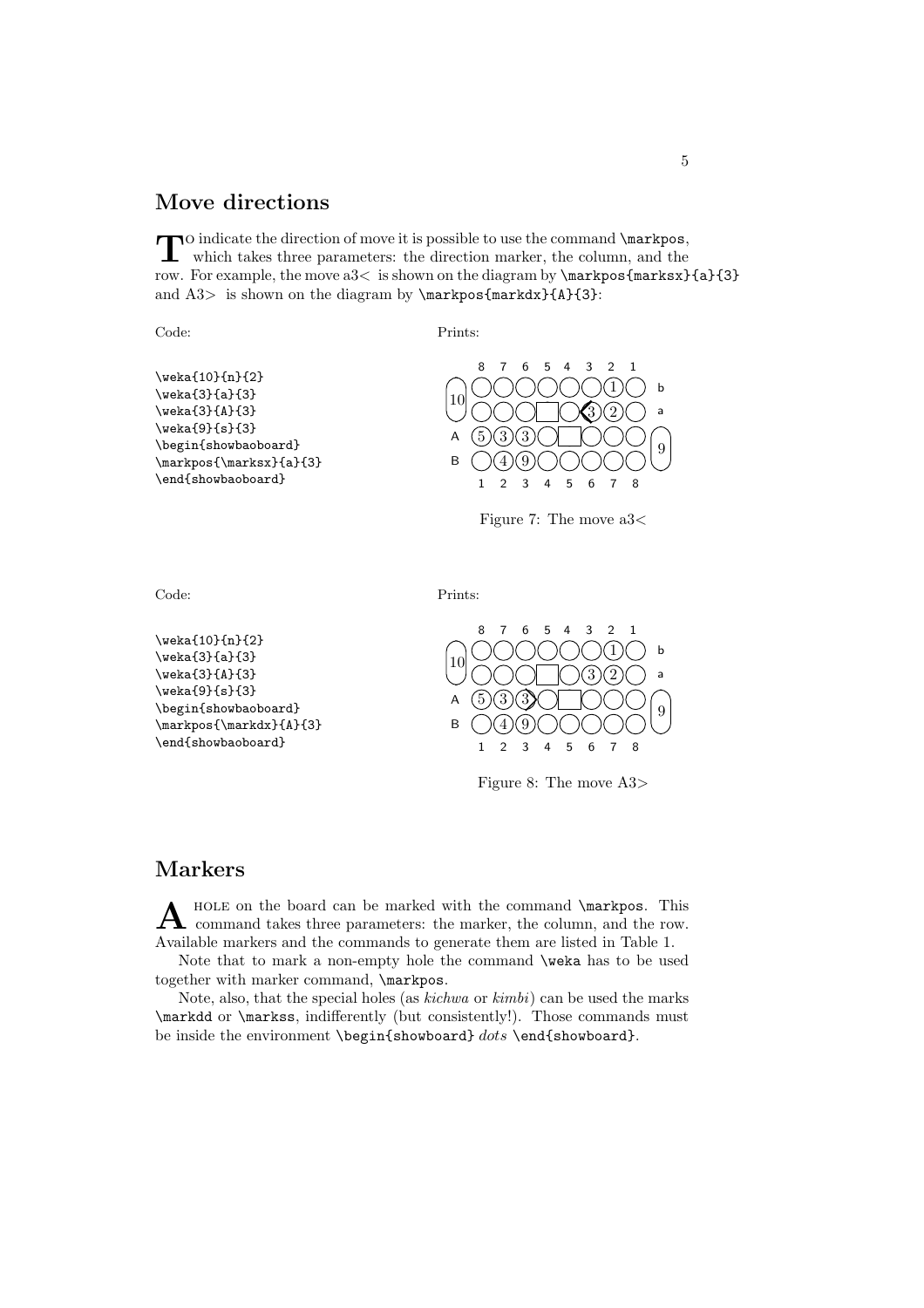## Move directions

To indicate the direction of move it is possible to use the command **\markpos**, which takes three parameters: the direction marker, the column, and the which takes three parameters: the direction marker, the column, and the row. For example, the move a3< is shown on the diagram by  $\maxpos{\text{S}}_{a}{3}$ and  $A3>$  is shown on the diagram by  $\mark$ markpos{markdx}{A}{3}:

Code:

Prints:





Figure 7: The move a3<

Code:

Prints:





Figure 8: The move A3>

#### Markers

A HOLE on the board can be marked with the command \markpos. This command takes three parameters: the marker, the column, and the row. HOLE on the board can be marked with the command \markpos. This Available markers and the commands to generate them are listed in Table 1.

Note that to mark a non-empty hole the command \weka has to be used together with marker command, \markpos.

Note, also, that the special holes (as kichwa or kimbi) can be used the marks \markdd or \markss, indifferently (but consistently!). Those commands must be inside the environment  $\begin{array}{cc} \text{showboard} \, dots \end{array}$